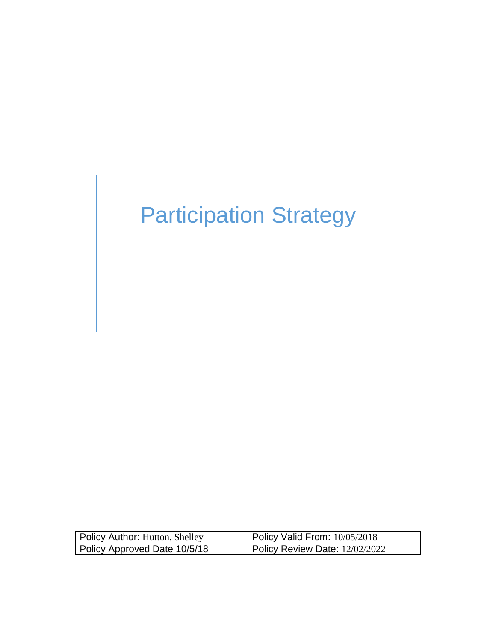# Participation Strategy

| Policy Author: Hutton, Shelley | Policy Valid From: 10/05/2018  |
|--------------------------------|--------------------------------|
| Policy Approved Date 10/5/18   | Policy Review Date: 12/02/2022 |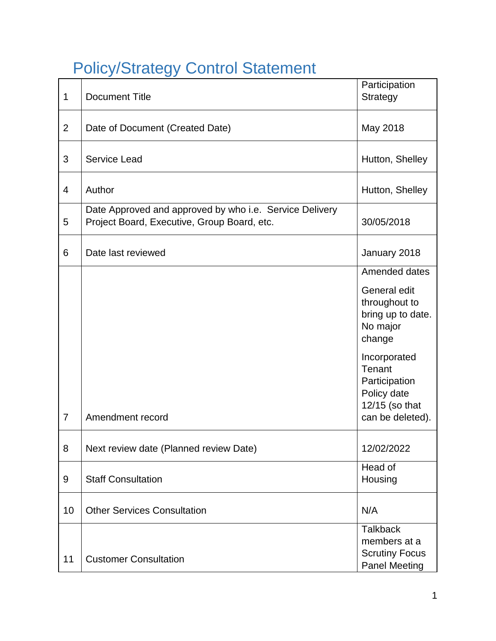## <span id="page-1-0"></span>Policy/Strategy Control Statement

| $\mathbf 1$    | <b>Document Title</b>                                                                                  | Participation<br><b>Strategy</b>                                                 |
|----------------|--------------------------------------------------------------------------------------------------------|----------------------------------------------------------------------------------|
| $\overline{2}$ | Date of Document (Created Date)                                                                        | May 2018                                                                         |
| 3              | <b>Service Lead</b>                                                                                    | Hutton, Shelley                                                                  |
| 4              | Author                                                                                                 | Hutton, Shelley                                                                  |
| 5              | Date Approved and approved by who i.e. Service Delivery<br>Project Board, Executive, Group Board, etc. | 30/05/2018                                                                       |
| 6              | Date last reviewed                                                                                     | January 2018                                                                     |
|                |                                                                                                        | Amended dates                                                                    |
|                |                                                                                                        | General edit<br>throughout to<br>bring up to date.<br>No major<br>change         |
|                |                                                                                                        | Incorporated<br>Tenant<br>Participation<br>Policy date<br>12/15 (so that         |
| $\overline{7}$ | Amendment record                                                                                       | can be deleted).                                                                 |
| 8              | Next review date (Planned review Date)                                                                 | 12/02/2022                                                                       |
| 9              | <b>Staff Consultation</b>                                                                              | Head of<br>Housing                                                               |
| 10             | <b>Other Services Consultation</b>                                                                     | N/A                                                                              |
| 11             | <b>Customer Consultation</b>                                                                           | <b>Talkback</b><br>members at a<br><b>Scrutiny Focus</b><br><b>Panel Meeting</b> |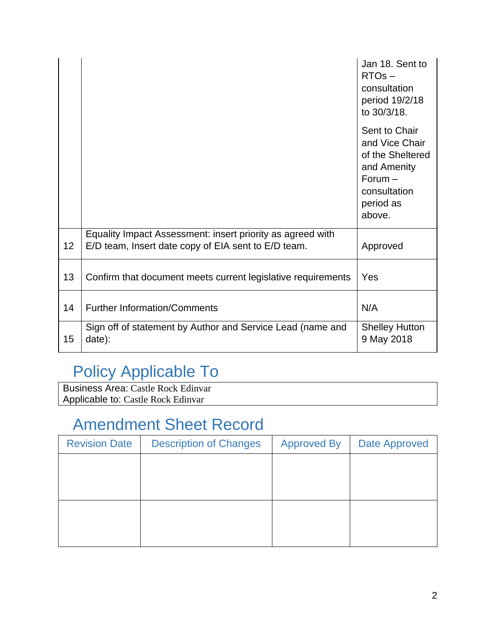|    |                                                                                                                   | Jan 18. Sent to<br>$RTOs -$<br>consultation<br>period 19/2/18<br>to 30/3/18.                                           |
|----|-------------------------------------------------------------------------------------------------------------------|------------------------------------------------------------------------------------------------------------------------|
|    |                                                                                                                   | Sent to Chair<br>and Vice Chair<br>of the Sheltered<br>and Amenity<br>$Forum -$<br>consultation<br>period as<br>above. |
| 12 | Equality Impact Assessment: insert priority as agreed with<br>E/D team, Insert date copy of EIA sent to E/D team. | Approved                                                                                                               |
| 13 | Confirm that document meets current legislative requirements                                                      | Yes                                                                                                                    |
| 14 | <b>Further Information/Comments</b>                                                                               | N/A                                                                                                                    |
| 15 | Sign off of statement by Author and Service Lead (name and<br>date):                                              | <b>Shelley Hutton</b><br>9 May 2018                                                                                    |

## Policy Applicable To

Business Area: Castle Rock Edinvar Applicable to: Castle Rock Edinvar

## Amendment Sheet Record

| <b>Revision Date</b> | <b>Description of Changes</b> | <b>Approved By</b> | <b>Date Approved</b> |
|----------------------|-------------------------------|--------------------|----------------------|
|                      |                               |                    |                      |
|                      |                               |                    |                      |
|                      |                               |                    |                      |
|                      |                               |                    |                      |
|                      |                               |                    |                      |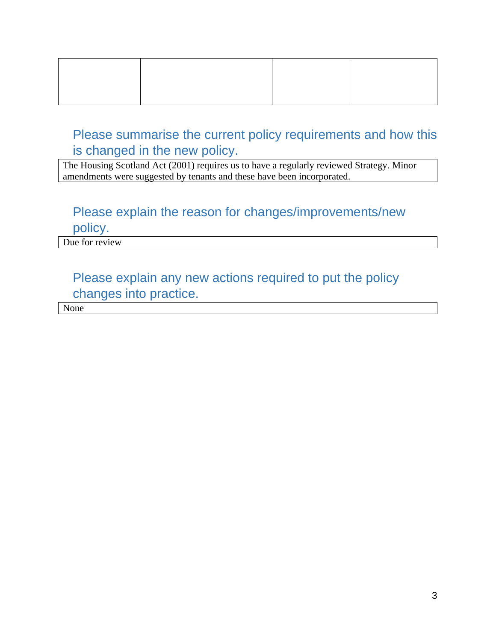Please summarise the current policy requirements and how this is changed in the new policy.

The Housing Scotland Act (2001) requires us to have a regularly reviewed Strategy. Minor amendments were suggested by tenants and these have been incorporated.

## Please explain the reason for changes/improvements/new

policy.

Due for review

## Please explain any new actions required to put the policy changes into practice.

None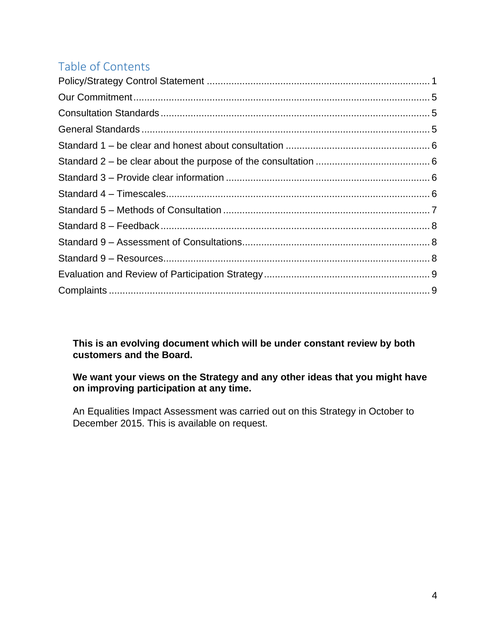## Table of Contents

**This is an evolving document which will be under constant review by both customers and the Board.** 

#### **We want your views on the Strategy and any other ideas that you might have on improving participation at any time.**

An Equalities Impact Assessment was carried out on this Strategy in October to December 2015. This is available on request.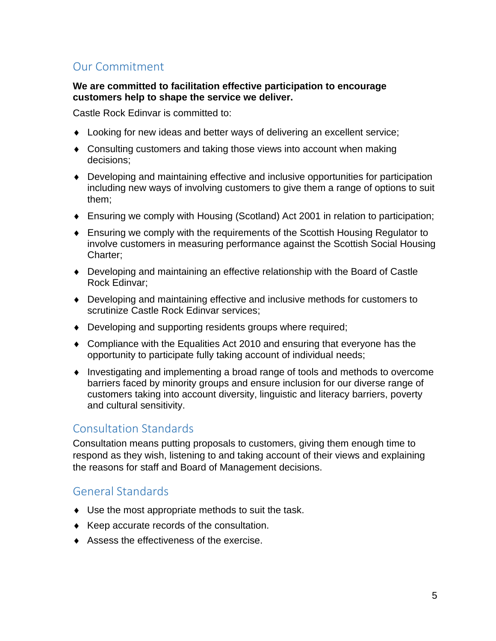## <span id="page-5-0"></span>Our Commitment

#### **We are committed to facilitation effective participation to encourage customers help to shape the service we deliver.**

Castle Rock Edinvar is committed to:

- Looking for new ideas and better ways of delivering an excellent service;
- Consulting customers and taking those views into account when making decisions;
- Developing and maintaining effective and inclusive opportunities for participation including new ways of involving customers to give them a range of options to suit them;
- Ensuring we comply with [Housing \(Scotland\) Act 2001 i](http://www.gov.scot/Publications/2002/09/15487/11221)n relation to participation;
- Ensuring we comply with the requirements of the Scottish Housing Regulator to involve customers in measuring performance against the Scottish Social Housing Charter;
- Developing and maintaining an effective relationship with the Board of Castle Rock Edinvar;
- Developing and maintaining effective and inclusive methods for customers to scrutinize Castle Rock Edinvar services;
- Developing and supporting residents groups where required;
- Compliance with the Equalities Act 2010 and ensuring that everyone has the opportunity to participate fully taking account of individual needs;
- Investigating and implementing a broad range of tools and methods to overcome barriers faced by minority groups and ensure inclusion for our diverse range of customers taking into account diversity, linguistic and literacy barriers, poverty and cultural sensitivity.

#### <span id="page-5-1"></span>Consultation Standards

Consultation means putting proposals to customers, giving them enough time to respond as they wish, listening to and taking account of their views and explaining the reasons for staff and Board of Management decisions.

#### <span id="page-5-2"></span>General Standards

- Use the most appropriate methods to suit the task.
- $\triangleleft$  Keep accurate records of the consultation.
- Assess the effectiveness of the exercise.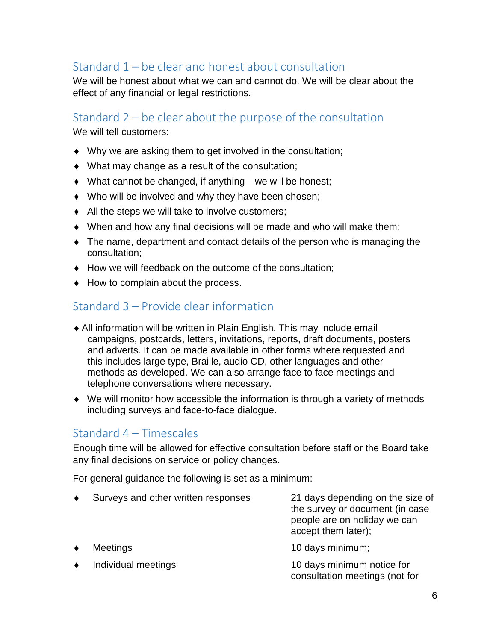## <span id="page-6-0"></span>Standard 1 – be clear and honest about consultation

We will be honest about what we can and cannot do. We will be clear about the effect of any financial or legal restrictions.

#### <span id="page-6-1"></span>Standard 2 – be clear about the purpose of the consultation

We will tell customers:

- Why we are asking them to get involved in the consultation;
- What may change as a result of the consultation;
- What cannot be changed, if anything—we will be honest;
- Who will be involved and why they have been chosen;
- $\bullet$  All the steps we will take to involve customers;
- When and how any final decisions will be made and who will make them;
- The name, department and contact details of the person who is managing the consultation;
- ◆ How we will feedback on the outcome of the consultation:
- $\blacklozenge$  How to complain about the process.

### <span id="page-6-2"></span>Standard 3 – Provide clear information

- All information will be written in Plain English. This may include email campaigns, postcards, letters, invitations, reports, draft documents, posters and adverts. It can be made available in other forms where requested and this includes large type, Braille, audio CD, other languages and other methods as developed. We can also arrange face to face meetings and telephone conversations where necessary.
- We will monitor how accessible the information is through a variety of methods including surveys and face-to-face dialogue.

#### <span id="page-6-3"></span>Standard 4 – Timescales

Enough time will be allowed for effective consultation before staff or the Board take any final decisions on service or policy changes.

For general guidance the following is set as a minimum:

- Surveys and other written responses 21 days depending on the size of the survey or document (in case people are on holiday we can accept them later); Meetings **10** days minimum;
- 

Individual meetings and the two monotonic terms of the latest method of the latest method of the latest method of the latest method of the latest method of the latest method of the latest method of the latest method of the consultation meetings (not for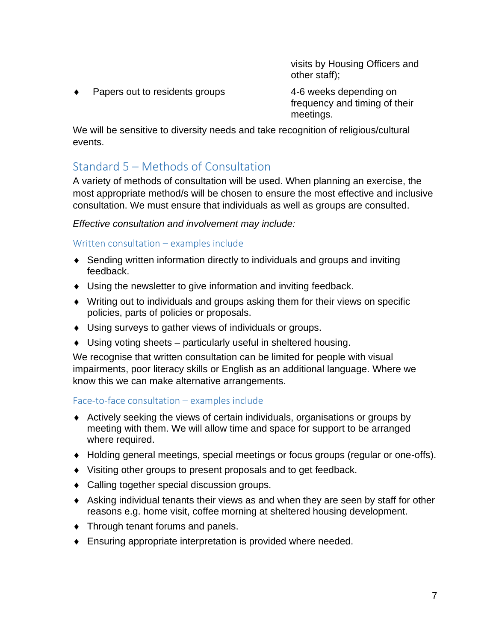visits by Housing Officers and other staff);

Papers out to residents groups 4-6 weeks depending on

frequency and timing of their meetings.

We will be sensitive to diversity needs and take recognition of religious/cultural events.

## <span id="page-7-0"></span>Standard 5 – Methods of Consultation

A variety of methods of consultation will be used. When planning an exercise, the most appropriate method/s will be chosen to ensure the most effective and inclusive consultation. We must ensure that individuals as well as groups are consulted.

*Effective consultation and involvement may include:*

Written consultation – examples include

- Sending written information directly to individuals and groups and inviting feedback.
- Using the newsletter to give information and inviting feedback.
- Writing out to individuals and groups asking them for their views on specific policies, parts of policies or proposals.
- Using surveys to gather views of individuals or groups.
- Using voting sheets particularly useful in sheltered housing.

We recognise that written consultation can be limited for people with visual impairments, poor literacy skills or English as an additional language. Where we know this we can make alternative arrangements.

Face-to-face consultation – examples include

- Actively seeking the views of certain individuals, organisations or groups by meeting with them. We will allow time and space for support to be arranged where required.
- Holding general meetings, special meetings or focus groups (regular or one-offs).
- Visiting other groups to present proposals and to get feedback.
- Calling together special discussion groups.
- Asking individual tenants their views as and when they are seen by staff for other reasons e.g. home visit, coffee morning at sheltered housing development.
- ◆ Through tenant forums and panels.
- Ensuring appropriate interpretation is provided where needed.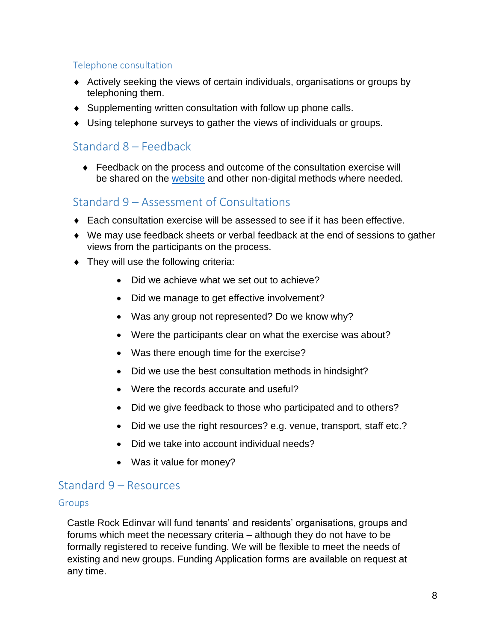#### Telephone consultation

- Actively seeking the views of certain individuals, organisations or groups by telephoning them.
- Supplementing written consultation with follow up phone calls.
- Using telephone surveys to gather the views of individuals or groups.

#### <span id="page-8-0"></span>Standard 8 – Feedback

 Feedback on the process and outcome of the consultation exercise will be shared on the [website](http://www.castlerockedinvar.co.uk/customers/get_involved/latest_consultations.aspx) and other non-digital methods where needed.

#### <span id="page-8-1"></span>Standard 9 – Assessment of Consultations

- Each consultation exercise will be assessed to see if it has been effective.
- We may use feedback sheets or verbal feedback at the end of sessions to gather views from the participants on the process.
- ◆ They will use the following criteria:
	- Did we achieve what we set out to achieve?
	- Did we manage to get effective involvement?
	- Was any group not represented? Do we know why?
	- Were the participants clear on what the exercise was about?
	- Was there enough time for the exercise?
	- Did we use the best consultation methods in hindsight?
	- Were the records accurate and useful?
	- Did we give feedback to those who participated and to others?
	- Did we use the right resources? e.g. venue, transport, staff etc.?
	- Did we take into account individual needs?
	- Was it value for money?

#### <span id="page-8-2"></span>Standard 9 – Resources

#### Groups

Castle Rock Edinvar will fund tenants' and residents' organisations, groups and forums which meet the necessary criteria – although they do not have to be formally registered to receive funding. We will be flexible to meet the needs of existing and new groups. Funding Application forms are available on request at any time.